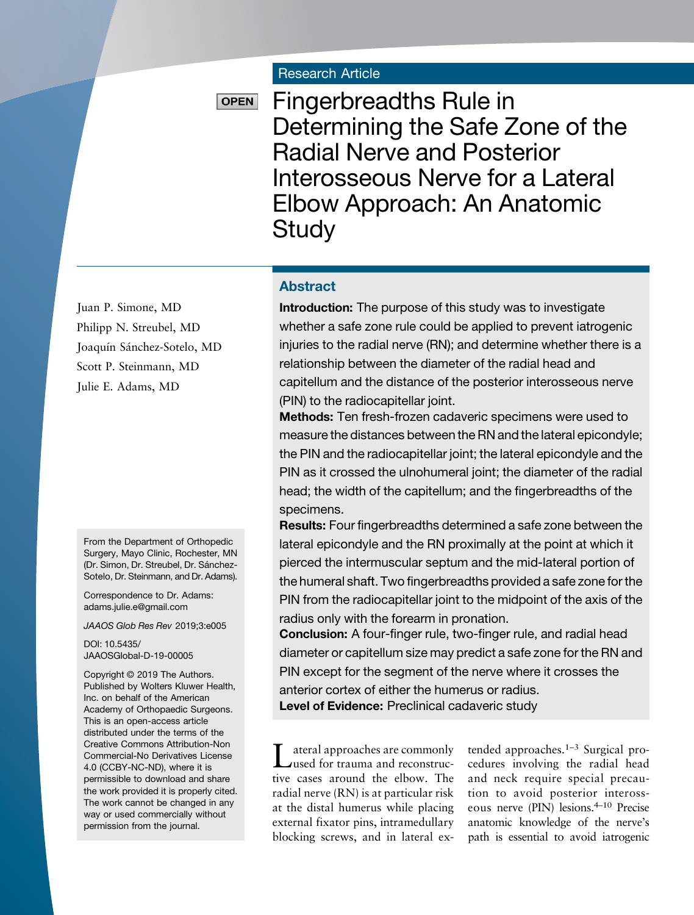# Research Article

**OPEN** 

Fingerbreadths Rule in Determining the Safe Zone of the Radial Nerve and Posterior Interosseous Nerve for a Lateral Elbow Approach: An Anatomic **Study** 

## **Abstract**

Introduction: The purpose of this study was to investigate whether a safe zone rule could be applied to prevent iatrogenic injuries to the radial nerve (RN); and determine whether there is a relationship between the diameter of the radial head and capitellum and the distance of the posterior interosseous nerve (PIN) to the radiocapitellar joint.

Methods: Ten fresh-frozen cadaveric specimens were used to measure the distances between the RN and the lateral epicondyle; the PIN and the radiocapitellar joint; the lateral epicondyle and the PIN as it crossed the ulnohumeral joint; the diameter of the radial head; the width of the capitellum; and the fingerbreadths of the specimens.

Results: Four fingerbreadths determined a safe zone between the lateral epicondyle and the RN proximally at the point at which it pierced the intermuscular septum and the mid-lateral portion of the humeral shaft. Two fingerbreadths provided a safe zone for the PIN from the radiocapitellar joint to the midpoint of the axis of the radius only with the forearm in pronation.

Conclusion: A four-finger rule, two-finger rule, and radial head diameter or capitellum size may predict a safe zone for the RN and PIN except for the segment of the nerve where it crosses the anterior cortex of either the humerus or radius. Level of Evidence: Preclinical cadaveric study

ateral approaches are commonly used for trauma and reconstructive cases around the elbow. The radial nerve (RN) is at particular risk at the distal humerus while placing external fixator pins, intramedullary blocking screws, and in lateral extended approaches.1–<sup>3</sup> Surgical procedures involving the radial head and neck require special precaution to avoid posterior interosseous nerve (PIN) lesions.4–<sup>10</sup> Precise anatomic knowledge of the nerve's path is essential to avoid iatrogenic

Juan P. Simone, MD Philipp N. Streubel, MD Joaquín Sánchez-Sotelo, MD Scott P. Steinmann, MD Julie E. Adams, MD

From the Department of Orthopedic Surgery, Mayo Clinic, Rochester, MN (Dr. Simon, Dr. Streubel, Dr. Sánchez-Sotelo, Dr. Steinmann, and Dr. Adams).

Correspondence to Dr. Adams: [adams.julie.e@gmail.com](mailto:adams.julie.e@gmail.com)

JAAOS Glob Res Rev 2019;3:e005

DOI: [10.5435/](http://dx.doi.org/10.5435/JAAOSGlobal-D-19-00005) [JAAOSGlobal-D-19-00005](http://dx.doi.org/10.5435/JAAOSGlobal-D-19-00005)

Copyright © 2019 The Authors. Published by Wolters Kluwer Health, Inc. on behalf of the American Academy of Orthopaedic Surgeons. This is an open-access article distributed under the terms of the [Creative Commons Attribution-Non](http://creativecommons.org/licenses/by-nc-nd/4.0/) [Commercial-No Derivatives License](http://creativecommons.org/licenses/by-nc-nd/4.0/) [4.0 \(CCBY-NC-ND\)](http://creativecommons.org/licenses/by-nc-nd/4.0/), where it is permissible to download and share the work provided it is properly cited. The work cannot be changed in any way or used commercially without permission from the journal.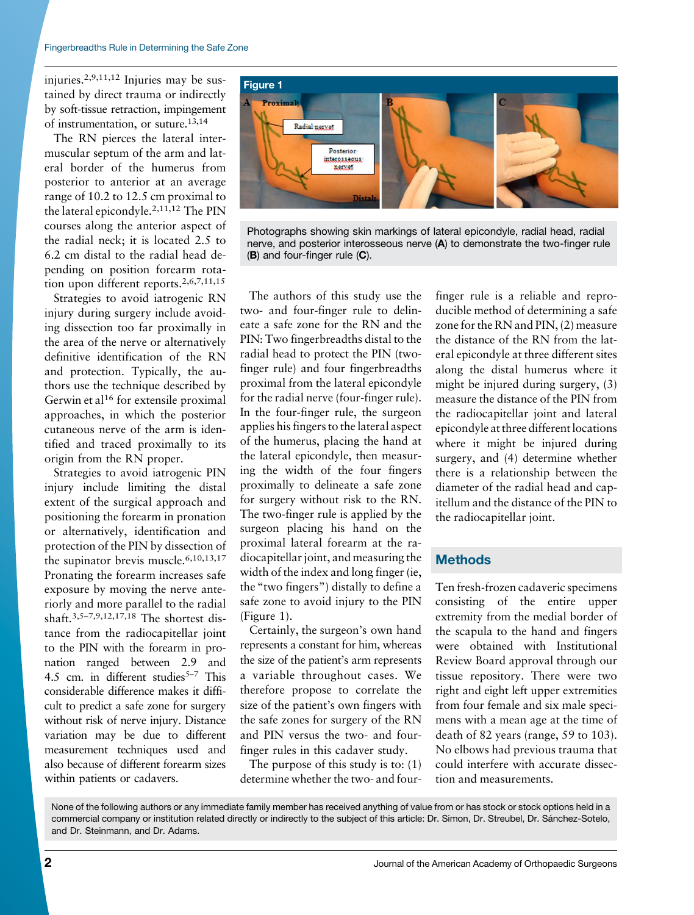injuries.2,9,11,12 Injuries may be sustained by direct trauma or indirectly by soft-tissue retraction, impingement of instrumentation, or suture.13,14

The RN pierces the lateral intermuscular septum of the arm and lateral border of the humerus from posterior to anterior at an average range of 10.2 to 12.5 cm proximal to the lateral epicondyle.2,11,12 The PIN courses along the anterior aspect of the radial neck; it is located 2.5 to 6.2 cm distal to the radial head depending on position forearm rotation upon different reports.<sup>2,6,7,11,15</sup>

Strategies to avoid iatrogenic RN injury during surgery include avoiding dissection too far proximally in the area of the nerve or alternatively definitive identification of the RN and protection. Typically, the authors use the technique described by Gerwin et al<sup>16</sup> for extensile proximal approaches, in which the posterior cutaneous nerve of the arm is identified and traced proximally to its origin from the RN proper.

Strategies to avoid iatrogenic PIN injury include limiting the distal extent of the surgical approach and positioning the forearm in pronation or alternatively, identification and protection of the PIN by dissection of the supinator brevis muscle.<sup>6,10,13,17</sup> Pronating the forearm increases safe exposure by moving the nerve anteriorly and more parallel to the radial shaft.3,5–7,9,12,17,18 The shortest distance from the radiocapitellar joint to the PIN with the forearm in pronation ranged between 2.9 and 4.5 cm. in different studies<sup>5-7</sup> This considerable difference makes it difficult to predict a safe zone for surgery without risk of nerve injury. Distance variation may be due to different measurement techniques used and also because of different forearm sizes within patients or cadavers.



Photographs showing skin markings of lateral epicondyle, radial head, radial nerve, and posterior interosseous nerve (A) to demonstrate the two-finger rule (B) and four-finger rule (C).

The authors of this study use the two- and four-finger rule to delineate a safe zone for the RN and the PIN: Two fingerbreadths distal to the radial head to protect the PIN (twofinger rule) and four fingerbreadths proximal from the lateral epicondyle for the radial nerve (four-finger rule). In the four-finger rule, the surgeon applies his fingers to the lateral aspect of the humerus, placing the hand at the lateral epicondyle, then measuring the width of the four fingers proximally to delineate a safe zone for surgery without risk to the RN. The two-finger rule is applied by the surgeon placing his hand on the proximal lateral forearm at the radiocapitellar joint, and measuring the width of the index and long finger (ie, the "two fingers") distally to define a safe zone to avoid injury to the PIN (Figure 1).

Certainly, the surgeon's own hand represents a constant for him, whereas the size of the patient's arm represents a variable throughout cases. We therefore propose to correlate the size of the patient's own fingers with the safe zones for surgery of the RN and PIN versus the two- and fourfinger rules in this cadaver study.

The purpose of this study is to: (1) determine whether the two- and fourfinger rule is a reliable and reproducible method of determining a safe zone for the RN and PIN, (2) measure the distance of the RN from the lateral epicondyle at three different sites along the distal humerus where it might be injured during surgery, (3) measure the distance of the PIN from the radiocapitellar joint and lateral epicondyle at three different locations where it might be injured during surgery, and (4) determine whether there is a relationship between the diameter of the radial head and capitellum and the distance of the PIN to the radiocapitellar joint.

# **Methods**

Ten fresh-frozen cadaveric specimens consisting of the entire upper extremity from the medial border of the scapula to the hand and fingers were obtained with Institutional Review Board approval through our tissue repository. There were two right and eight left upper extremities from four female and six male specimens with a mean age at the time of death of 82 years (range, 59 to 103). No elbows had previous trauma that could interfere with accurate dissection and measurements.

None of the following authors or any immediate family member has received anything of value from or has stock or stock options held in a commercial company or institution related directly or indirectly to the subject of this article: Dr. Simon, Dr. Streubel, Dr. Sánchez-Sotelo, and Dr. Steinmann, and Dr. Adams.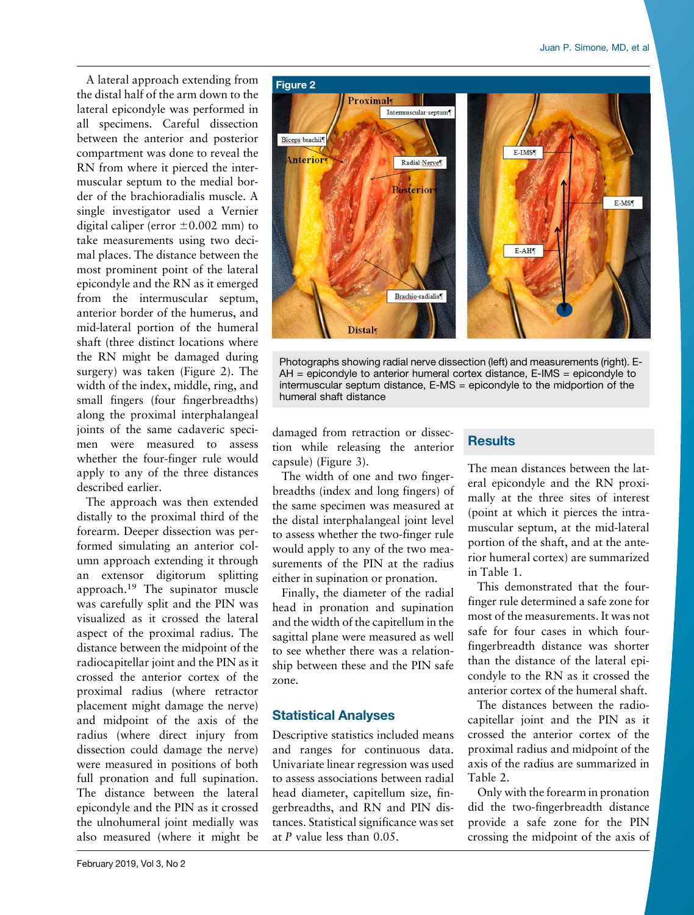A lateral approach extending from the distal half of the arm down to the lateral epicondyle was performed in all specimens. Careful dissection between the anterior and posterior compartment was done to reveal the RN from where it pierced the intermuscular septum to the medial border of the brachioradialis muscle. A single investigator used a Vernier digital caliper (error  $\pm 0.002$  mm) to take measurements using two decimal places. The distance between the most prominent point of the lateral epicondyle and the RN as it emerged from the intermuscular septum, anterior border of the humerus, and mid-lateral portion of the humeral shaft (three distinct locations where the RN might be damaged during surgery) was taken (Figure 2). The width of the index, middle, ring, and small fingers (four fingerbreadths) along the proximal interphalangeal joints of the same cadaveric specimen were measured to assess whether the four-finger rule would apply to any of the three distances described earlier.

The approach was then extended distally to the proximal third of the forearm. Deeper dissection was performed simulating an anterior column approach extending it through an extensor digitorum splitting approach.19 The supinator muscle was carefully split and the PIN was visualized as it crossed the lateral aspect of the proximal radius. The distance between the midpoint of the radiocapitellar joint and the PIN as it crossed the anterior cortex of the proximal radius (where retractor placement might damage the nerve) and midpoint of the axis of the radius (where direct injury from dissection could damage the nerve) were measured in positions of both full pronation and full supination. The distance between the lateral epicondyle and the PIN as it crossed the ulnohumeral joint medially was also measured (where it might be



Photographs showing radial nerve dissection (left) and measurements (right). E-AH = epicondyle to anterior humeral cortex distance, E-IMS = epicondyle to intermuscular septum distance, E-MS = epicondyle to the midportion of the humeral shaft distance

damaged from retraction or dissection while releasing the anterior capsule) (Figure 3).

The width of one and two fingerbreadths (index and long fingers) of the same specimen was measured at the distal interphalangeal joint level to assess whether the two-finger rule would apply to any of the two measurements of the PIN at the radius either in supination or pronation.

Finally, the diameter of the radial head in pronation and supination and the width of the capitellum in the sagittal plane were measured as well to see whether there was a relationship between these and the PIN safe zone.

## Statistical Analyses

Descriptive statistics included means and ranges for continuous data. Univariate linear regression was used to assess associations between radial head diameter, capitellum size, fingerbreadths, and RN and PIN distances. Statistical significance was set at P value less than 0.05.

### **Results**

The mean distances between the lateral epicondyle and the RN proximally at the three sites of interest (point at which it pierces the intramuscular septum, at the mid-lateral portion of the shaft, and at the anterior humeral cortex) are summarized in Table 1.

This demonstrated that the fourfinger rule determined a safe zone for most of the measurements. It was not safe for four cases in which fourfingerbreadth distance was shorter than the distance of the lateral epicondyle to the RN as it crossed the anterior cortex of the humeral shaft.

The distances between the radiocapitellar joint and the PIN as it crossed the anterior cortex of the proximal radius and midpoint of the axis of the radius are summarized in Table 2.

Only with the forearm in pronation did the two-fingerbreadth distance provide a safe zone for the PIN crossing the midpoint of the axis of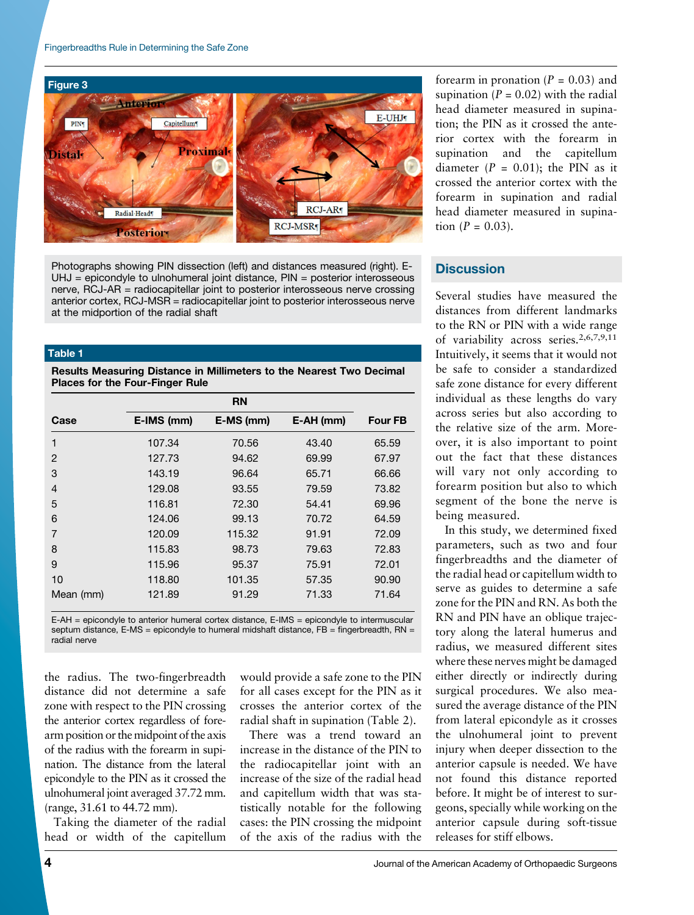#### Fingerbreadths Rule in Determining the Safe Zone



Photographs showing PIN dissection (left) and distances measured (right). E-UHJ = epicondyle to ulnohumeral joint distance, PIN = posterior interosseous nerve, RCJ-AR = radiocapitellar joint to posterior interosseous nerve crossing anterior cortex, RCJ-MSR = radiocapitellar joint to posterior interosseous nerve at the midportion of the radial shaft

#### Table 1

Results Measuring Distance in Millimeters to the Nearest Two Decimal Places for the Four-Finger Rule

| Case         | E-IMS (mm) | E-MS (mm) | E-AH (mm) | <b>Four FB</b> |  |
|--------------|------------|-----------|-----------|----------------|--|
| $\mathbf{1}$ | 107.34     | 70.56     | 43.40     | 65.59          |  |
| 2            | 127.73     | 94.62     | 69.99     | 67.97          |  |
| 3            | 143.19     | 96.64     | 65.71     | 66.66          |  |
| 4            | 129.08     | 93.55     | 79.59     | 73.82          |  |
| 5            | 116.81     | 72.30     | 54.41     | 69.96          |  |
| 6            | 124.06     | 99.13     | 70.72     | 64.59          |  |
| 7            | 120.09     | 115.32    | 91.91     | 72.09          |  |
| 8            | 115.83     | 98.73     | 79.63     | 72.83          |  |
| 9            | 115.96     | 95.37     | 75.91     | 72.01          |  |
| 10           | 118,80     | 101.35    | 57.35     | 90.90          |  |
| Mean (mm)    | 121.89     | 91.29     | 71.33     | 71.64          |  |

E-AH = epicondyle to anterior humeral cortex distance, E-IMS = epicondyle to intermuscular septum distance, E-MS = epicondyle to humeral midshaft distance,  $FB =$  fingerbreadth, RN = radial nerve

the radius. The two-fingerbreadth distance did not determine a safe zone with respect to the PIN crossing the anterior cortex regardless of forearm position or the midpoint of the axis of the radius with the forearm in supination. The distance from the lateral epicondyle to the PIN as it crossed the ulnohumeral joint averaged 37.72 mm. (range, 31.61 to 44.72 mm).

Taking the diameter of the radial head or width of the capitellum

would provide a safe zone to the PIN for all cases except for the PIN as it crosses the anterior cortex of the radial shaft in supination (Table 2).

There was a trend toward an increase in the distance of the PIN to the radiocapitellar joint with an increase of the size of the radial head and capitellum width that was statistically notable for the following cases: the PIN crossing the midpoint of the axis of the radius with the

forearm in pronation ( $P = 0.03$ ) and supination ( $P = 0.02$ ) with the radial head diameter measured in supination; the PIN as it crossed the anterior cortex with the forearm in supination and the capitellum diameter  $(P = 0.01)$ ; the PIN as it crossed the anterior cortex with the forearm in supination and radial head diameter measured in supination ( $P = 0.03$ ).

## **Discussion**

Several studies have measured the distances from different landmarks to the RN or PIN with a wide range of variability across series.<sup>2,6,7,9,11</sup> Intuitively, it seems that it would not be safe to consider a standardized safe zone distance for every different individual as these lengths do vary across series but also according to the relative size of the arm. Moreover, it is also important to point out the fact that these distances will vary not only according to forearm position but also to which segment of the bone the nerve is being measured.

In this study, we determined fixed parameters, such as two and four fingerbreadths and the diameter of the radial head or capitellum width to serve as guides to determine a safe zone for the PIN and RN. As both the RN and PIN have an oblique trajectory along the lateral humerus and radius, we measured different sites where these nerves might be damaged either directly or indirectly during surgical procedures. We also measured the average distance of the PIN from lateral epicondyle as it crosses the ulnohumeral joint to prevent injury when deeper dissection to the anterior capsule is needed. We have not found this distance reported before. It might be of interest to surgeons, specially while working on the anterior capsule during soft-tissue releases for stiff elbows.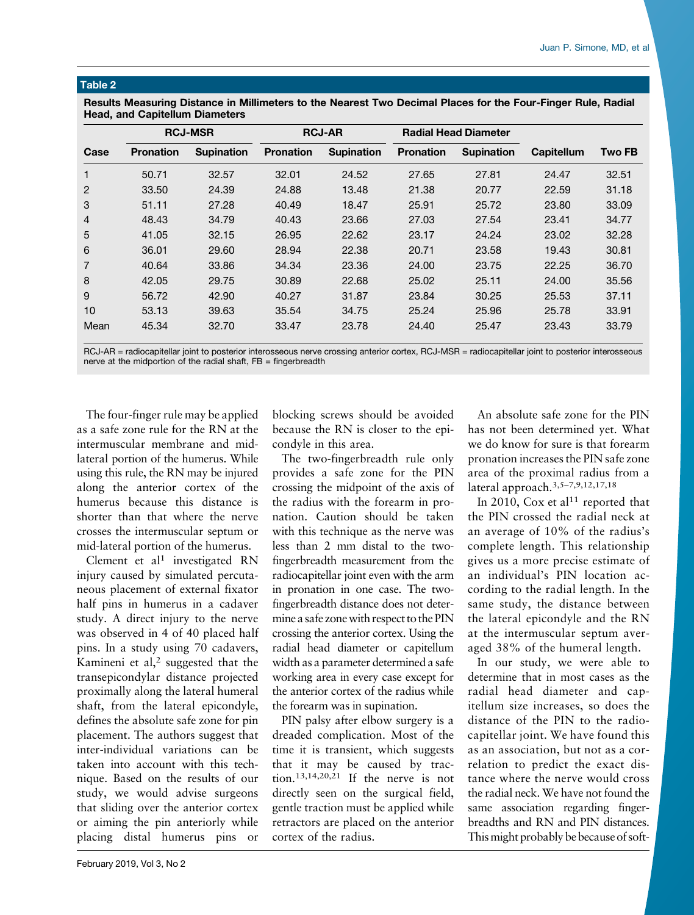### Table 2

Results Measuring Distance in Millimeters to the Nearest Two Decimal Places for the Four-Finger Rule, Radial Head, and Capitellum Diameters

|                | <b>RCJ-MSR</b>   |                   | <b>RCJ-AR</b>    |            | <b>Radial Head Diameter</b> |                   |            |               |
|----------------|------------------|-------------------|------------------|------------|-----------------------------|-------------------|------------|---------------|
| Case           | <b>Pronation</b> | <b>Supination</b> | <b>Pronation</b> | Supination | <b>Pronation</b>            | <b>Supination</b> | Capitellum | <b>Two FB</b> |
| 1              | 50.71            | 32.57             | 32.01            | 24.52      | 27.65                       | 27.81             | 24.47      | 32.51         |
| $\overline{2}$ | 33.50            | 24.39             | 24.88            | 13.48      | 21.38                       | 20.77             | 22.59      | 31.18         |
| 3              | 51.11            | 27.28             | 40.49            | 18.47      | 25.91                       | 25.72             | 23.80      | 33.09         |
| $\overline{4}$ | 48.43            | 34.79             | 40.43            | 23.66      | 27.03                       | 27.54             | 23.41      | 34.77         |
| 5              | 41.05            | 32.15             | 26.95            | 22.62      | 23.17                       | 24.24             | 23.02      | 32.28         |
| 6              | 36.01            | 29.60             | 28.94            | 22.38      | 20.71                       | 23.58             | 19.43      | 30.81         |
| $\overline{7}$ | 40.64            | 33.86             | 34.34            | 23.36      | 24.00                       | 23.75             | 22.25      | 36.70         |
| 8              | 42.05            | 29.75             | 30.89            | 22.68      | 25.02                       | 25.11             | 24.00      | 35.56         |
| 9              | 56.72            | 42.90             | 40.27            | 31.87      | 23.84                       | 30.25             | 25.53      | 37.11         |
| 10             | 53.13            | 39.63             | 35.54            | 34.75      | 25.24                       | 25.96             | 25.78      | 33.91         |
| Mean           | 45.34            | 32.70             | 33.47            | 23.78      | 24.40                       | 25.47             | 23.43      | 33.79         |

RCJ-AR = radiocapitellar joint to posterior interosseous nerve crossing anterior cortex, RCJ-MSR = radiocapitellar joint to posterior interosseous nerve at the midportion of the radial shaft, FB = fingerbreadth

The four-finger rule may be applied as a safe zone rule for the RN at the intermuscular membrane and midlateral portion of the humerus. While using this rule, the RN may be injured along the anterior cortex of the humerus because this distance is shorter than that where the nerve crosses the intermuscular septum or mid-lateral portion of the humerus.

Clement et al<sup>1</sup> investigated RN injury caused by simulated percutaneous placement of external fixator half pins in humerus in a cadaver study. A direct injury to the nerve was observed in 4 of 40 placed half pins. In a study using 70 cadavers, Kamineni et al, $2$  suggested that the transepicondylar distance projected proximally along the lateral humeral shaft, from the lateral epicondyle, defines the absolute safe zone for pin placement. The authors suggest that inter-individual variations can be taken into account with this technique. Based on the results of our study, we would advise surgeons that sliding over the anterior cortex or aiming the pin anteriorly while placing distal humerus pins or

blocking screws should be avoided because the RN is closer to the epicondyle in this area.

The two-fingerbreadth rule only provides a safe zone for the PIN crossing the midpoint of the axis of the radius with the forearm in pronation. Caution should be taken with this technique as the nerve was less than 2 mm distal to the twofingerbreadth measurement from the radiocapitellar joint even with the arm in pronation in one case. The twofingerbreadth distance does not determine a safe zone with respect to the PIN crossing the anterior cortex. Using the radial head diameter or capitellum width as a parameter determined a safe working area in every case except for the anterior cortex of the radius while the forearm was in supination.

PIN palsy after elbow surgery is a dreaded complication. Most of the time it is transient, which suggests that it may be caused by traction.13,14,20,21 If the nerve is not directly seen on the surgical field, gentle traction must be applied while retractors are placed on the anterior cortex of the radius.

An absolute safe zone for the PIN has not been determined yet. What we do know for sure is that forearm pronation increases the PIN safe zone area of the proximal radius from a lateral approach.3,5–7,9,12,17,18

In 2010, Cox et al<sup>11</sup> reported that the PIN crossed the radial neck at an average of 10% of the radius's complete length. This relationship gives us a more precise estimate of an individual's PIN location according to the radial length. In the same study, the distance between the lateral epicondyle and the RN at the intermuscular septum averaged 38% of the humeral length.

In our study, we were able to determine that in most cases as the radial head diameter and capitellum size increases, so does the distance of the PIN to the radiocapitellar joint. We have found this as an association, but not as a correlation to predict the exact distance where the nerve would cross the radial neck. We have not found the same association regarding fingerbreadths and RN and PIN distances. This might probably be because of soft